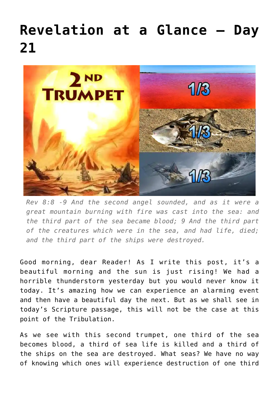## **[Revelation at a Glance – Day](https://maranatha.earnestlycontending.com/2022/06/06/revelation-at-a-glance-day-21/) [21](https://maranatha.earnestlycontending.com/2022/06/06/revelation-at-a-glance-day-21/)**



*Rev 8:8 -9 And the second angel sounded, and as it were a great mountain burning with fire was cast into the sea: and the third part of the sea became blood; 9 And the third part of the creatures which were in the sea, and had life, died; and the third part of the ships were destroyed.*

Good morning, dear Reader! As I write this post, it's a beautiful morning and the sun is just rising! We had a horrible thunderstorm yesterday but you would never know it today. It's amazing how we can experience an alarming event and then have a beautiful day the next. But as we shall see in today's Scripture passage, this will not be the case at this point of the Tribulation.

As we see with this second trumpet, one third of the sea becomes blood, a third of sea life is killed and a third of the ships on the sea are destroyed. What seas? We have no way of knowing which ones will experience destruction of one third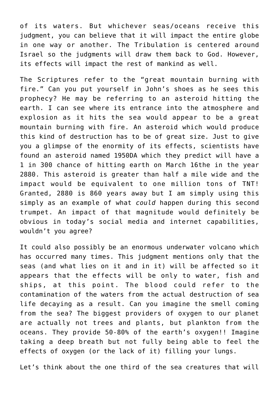of its waters. But whichever seas/oceans receive this judgment, you can believe that it will impact the entire globe in one way or another. The Tribulation is centered around Israel so the judgments will draw them back to God. However, its effects will impact the rest of mankind as well.

The Scriptures refer to the "great mountain burning with fire." Can you put yourself in John's shoes as he sees this prophecy? He may be referring to an asteroid hitting the earth. I can see where its entrance into the atmosphere and explosion as it hits the sea would appear to be a great mountain burning with fire. An asteroid which would produce this kind of destruction has to be of great size. Just to give you a glimpse of the enormity of its effects, scientists have found an asteroid named 1950DA which they predict will have a 1 in 300 chance of hitting earth on March 16the in the year 2880. This asteroid is greater than half a mile wide and the impact would be equivalent to one million tons of TNT! Granted, 2880 is 860 years away but I am simply using this simply as an example of what *could* happen during this second trumpet. An impact of that magnitude would definitely be obvious in today's social media and internet capabilities, wouldn't you agree?

It could also possibly be an enormous underwater volcano which has occurred many times. This judgment mentions only that the seas (and what lies on it and in it) will be affected so it appears that the effects will be only to water, fish and ships, at this point. The blood could refer to the contamination of the waters from the actual destruction of sea life decaying as a result. Can you imagine the smell coming from the sea? The biggest providers of oxygen to our planet are actually not trees and plants, but plankton from the oceans. They provide 50-80% of the earth's oxygen!! Imagine taking a deep breath but not fully being able to feel the effects of oxygen (or the lack of it) filling your lungs.

Let's think about the one third of the sea creatures that will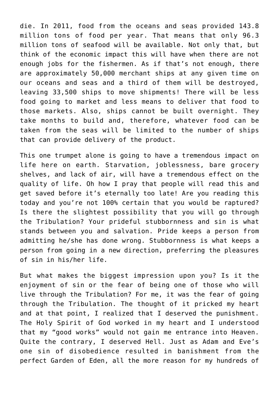die. In 2011, food from the oceans and seas provided 143.8 million tons of food per year. That means that only 96.3 million tons of seafood will be available. Not only that, but think of the economic impact this will have when there are not enough jobs for the fishermen. As if that's not enough, there are approximately 50,000 merchant ships at any given time on our oceans and seas and a third of them will be destroyed, leaving 33,500 ships to move shipments! There will be less food going to market and less means to deliver that food to those markets. Also, ships cannot be built overnight. They take months to build and, therefore, whatever food can be taken from the seas will be limited to the number of ships that can provide delivery of the product.

This one trumpet alone is going to have a tremendous impact on life here on earth. Starvation, joblessness, bare grocery shelves, and lack of air, will have a tremendous effect on the quality of life. Oh how I pray that people will read this and get saved before it's eternally too late! Are you reading this today and you're not 100% certain that you would be raptured? Is there the slightest possibility that you will go through the Tribulation? Your prideful stubbornness and sin is what stands between you and salvation. Pride keeps a person from admitting he/she has done wrong. Stubbornness is what keeps a person from going in a new direction, preferring the pleasures of sin in his/her life.

But what makes the biggest impression upon you? Is it the enjoyment of sin or the fear of being one of those who will live through the Tribulation? For me, it was the fear of going through the Tribulation. The thought of it pricked my heart and at that point, I realized that I deserved the punishment. The Holy Spirit of God worked in my heart and I understood that my "good works" would not gain me entrance into Heaven. Quite the contrary, I deserved Hell. Just as Adam and Eve's one sin of disobedience resulted in banishment from the perfect Garden of Eden, all the more reason for my hundreds of